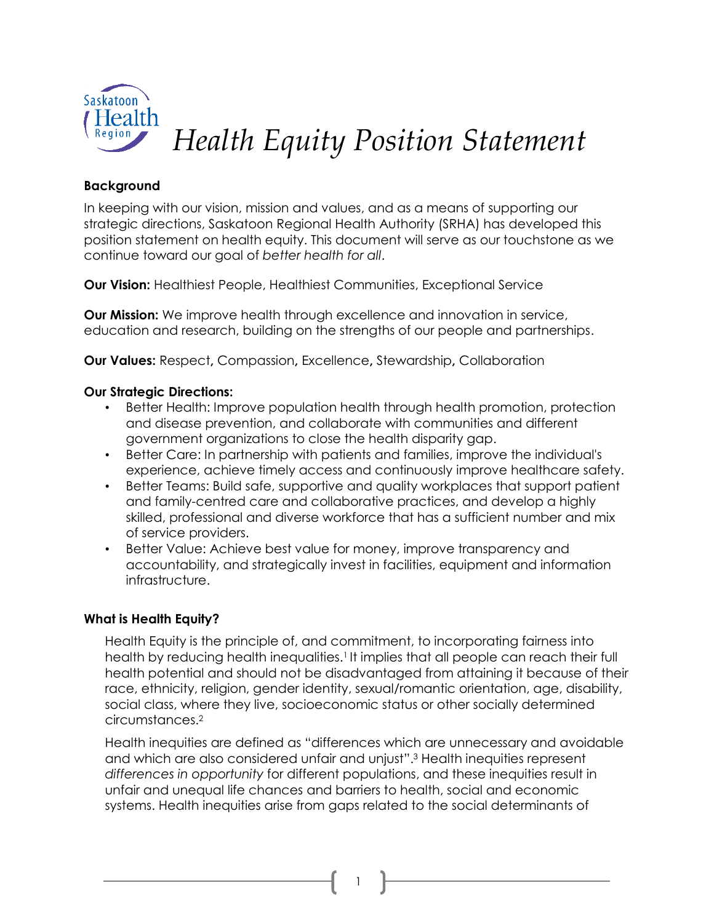

*Health Equity Position Statement*

#### **Background**

In keeping with our vision, mission and values, and as a means of supporting our strategic directions, Saskatoon Regional Health Authority (SRHA) has developed this position statement on health equity. This document will serve as our touchstone as we continue toward our goal of *better health for all*.

**Our Vision:** Healthiest People, Healthiest Communities, Exceptional Service

**Our Mission:** We improve health through excellence and innovation in service, education and research, building on the strengths of our people and partnerships.

**Our Values:** Respect**,** Compassion**,** Excellence**,** Stewardship**,** Collaboration

# **Our Strategic Directions:**

- Better Health: Improve population health through health promotion, protection and disease prevention, and collaborate with communities and different government organizations to close the health disparity gap.
- Better Care: In partnership with patients and families, improve the individual's experience, achieve timely access and continuously improve healthcare safety.
- Better Teams: Build safe, supportive and quality workplaces that support patient and family-centred care and collaborative practices, and develop a highly skilled, professional and diverse workforce that has a sufficient number and mix of service providers.
- Better Value: Achieve best value for money, improve transparency and accountability, and strategically invest in facilities, equipment and information infrastructure.

#### **What is Health Equity?**

Health Equity is the principle of, and commitment, to incorporating fairness into health by reducing health inequalities.<sup>1</sup> It implies that all people can reach their full health potential and should not be disadvantaged from attaining it because of their race, ethnicity, religion, gender identity, sexual/romantic orientation, age, disability, social class, where they live, socioeconomic status or other socially determined circumstances.<sup>2</sup>

Health inequities are defined as "differences which are unnecessary and avoidable and which are also considered unfair and unjust".<sup>3</sup> Health inequities represent *differences in opportunity* for different populations, and these inequities result in unfair and unequal life chances and barriers to health, social and economic systems. Health inequities arise from gaps related to the social determinants of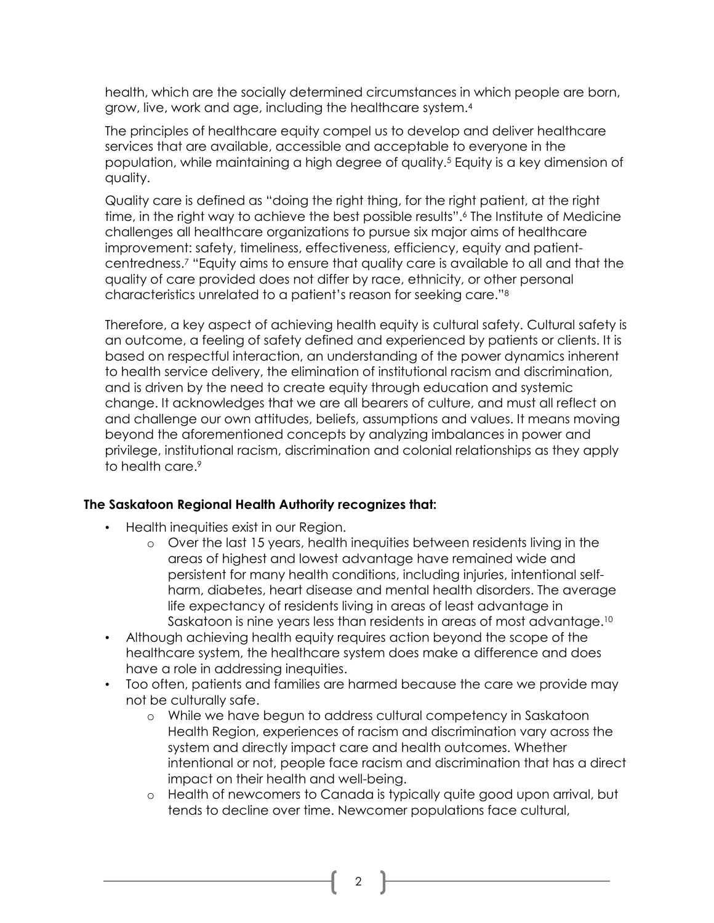health, which are the socially determined circumstances in which people are born, grow, live, work and age, including the healthcare system.<sup>4</sup>

The principles of healthcare equity compel us to develop and deliver healthcare services that are available, accessible and acceptable to everyone in the population, while maintaining a high degree of quality.<sup>5</sup> Equity is a key dimension of quality.

Quality care is defined as "doing the right thing, for the right patient, at the right time, in the right way to achieve the best possible results".<sup>6</sup> The Institute of Medicine challenges all healthcare organizations to pursue six major aims of healthcare improvement: safety, timeliness, effectiveness, efficiency, equity and patientcentredness.<sup>7</sup> "Equity aims to ensure that quality care is available to all and that the quality of care provided does not differ by race, ethnicity, or other personal characteristics unrelated to a patient's reason for seeking care."<sup>8</sup>

Therefore, a key aspect of achieving health equity is cultural safety. Cultural safety is an outcome, a feeling of safety defined and experienced by patients or clients. It is based on respectful interaction, an understanding of the power dynamics inherent to health service delivery, the elimination of institutional racism and discrimination, and is driven by the need to create equity through education and systemic change. It acknowledges that we are all bearers of culture, and must all reflect on and challenge our own attitudes, beliefs, assumptions and values. It means moving beyond the aforementioned concepts by analyzing imbalances in power and privilege, institutional racism, discrimination and colonial relationships as they apply to health care.<sup>9</sup>

#### **The Saskatoon Regional Health Authority recognizes that:**

- Health inequities exist in our Region.
	- o Over the last 15 years, health inequities between residents living in the areas of highest and lowest advantage have remained wide and persistent for many health conditions, including injuries, intentional selfharm, diabetes, heart disease and mental health disorders. The average life expectancy of residents living in areas of least advantage in Saskatoon is nine years less than residents in areas of most advantage. 10
- Although achieving health equity requires action beyond the scope of the healthcare system, the healthcare system does make a difference and does have a role in addressing inequities.
- Too often, patients and families are harmed because the care we provide may not be culturally safe.
	- o While we have begun to address cultural competency in Saskatoon Health Region, experiences of racism and discrimination vary across the system and directly impact care and health outcomes. Whether intentional or not, people face racism and discrimination that has a direct impact on their health and well-being.
	- o Health of newcomers to Canada is typically quite good upon arrival, but tends to decline over time. Newcomer populations face cultural,

 $\mathcal{L}$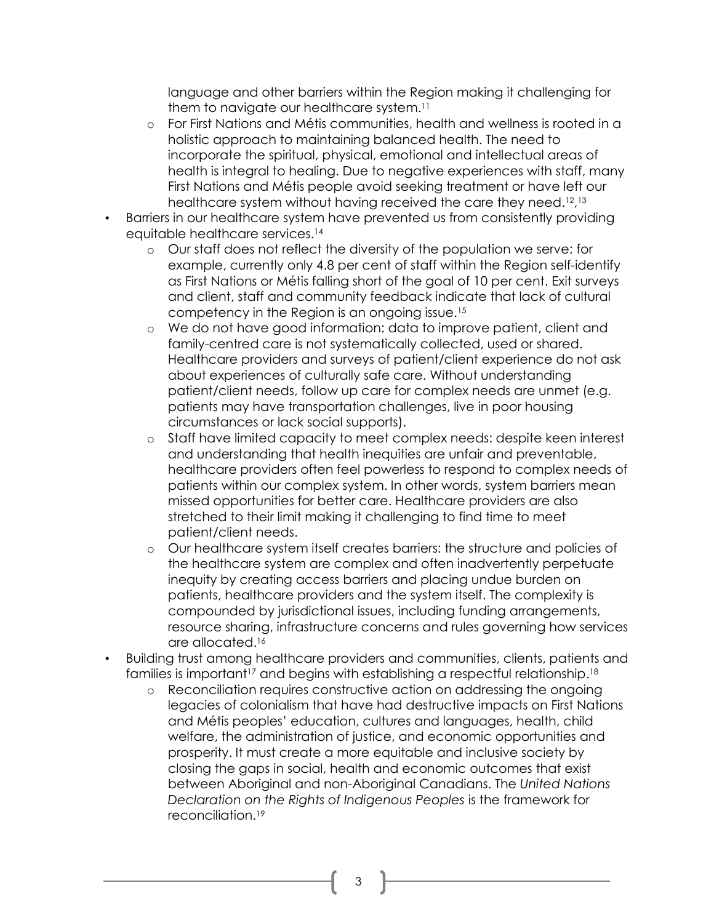language and other barriers within the Region making it challenging for them to navigate our healthcare system. 11

- o For First Nations and Métis communities, health and wellness is rooted in a holistic approach to maintaining balanced health. The need to incorporate the spiritual, physical, emotional and intellectual areas of health is integral to healing. Due to negative experiences with staff, many First Nations and Métis people avoid seeking treatment or have left our healthcare system without having received the care they need.<sup>12,13</sup>
- Barriers in our healthcare system have prevented us from consistently providing equitable healthcare services.<sup>14</sup>
	- o Our staff does not reflect the diversity of the population we serve: for example, currently only 4.8 per cent of staff within the Region self-identify as First Nations or Métis falling short of the goal of 10 per cent. Exit surveys and client, staff and community feedback indicate that lack of cultural competency in the Region is an ongoing issue.<sup>15</sup>
	- o We do not have good information: data to improve patient, client and family-centred care is not systematically collected, used or shared. Healthcare providers and surveys of patient/client experience do not ask about experiences of culturally safe care. Without understanding patient/client needs, follow up care for complex needs are unmet (e.g. patients may have transportation challenges, live in poor housing circumstances or lack social supports).
	- o Staff have limited capacity to meet complex needs: despite keen interest and understanding that health inequities are unfair and preventable, healthcare providers often feel powerless to respond to complex needs of patients within our complex system. In other words, system barriers mean missed opportunities for better care. Healthcare providers are also stretched to their limit making it challenging to find time to meet patient/client needs.
	- o Our healthcare system itself creates barriers: the structure and policies of the healthcare system are complex and often inadvertently perpetuate inequity by creating access barriers and placing undue burden on patients, healthcare providers and the system itself. The complexity is compounded by jurisdictional issues, including funding arrangements, resource sharing, infrastructure concerns and rules governing how services are allocated.<sup>16</sup>
- Building trust among healthcare providers and communities, clients, patients and families is important<sup>17</sup> and begins with establishing a respectful relationship.<sup>18</sup>
	- o Reconciliation requires constructive action on addressing the ongoing legacies of colonialism that have had destructive impacts on First Nations and Métis peoples' education, cultures and languages, health, child welfare, the administration of justice, and economic opportunities and prosperity. It must create a more equitable and inclusive society by closing the gaps in social, health and economic outcomes that exist between Aboriginal and non-Aboriginal Canadians. The *United Nations Declaration on the Rights of Indigenous Peoples* is the framework for reconciliation.19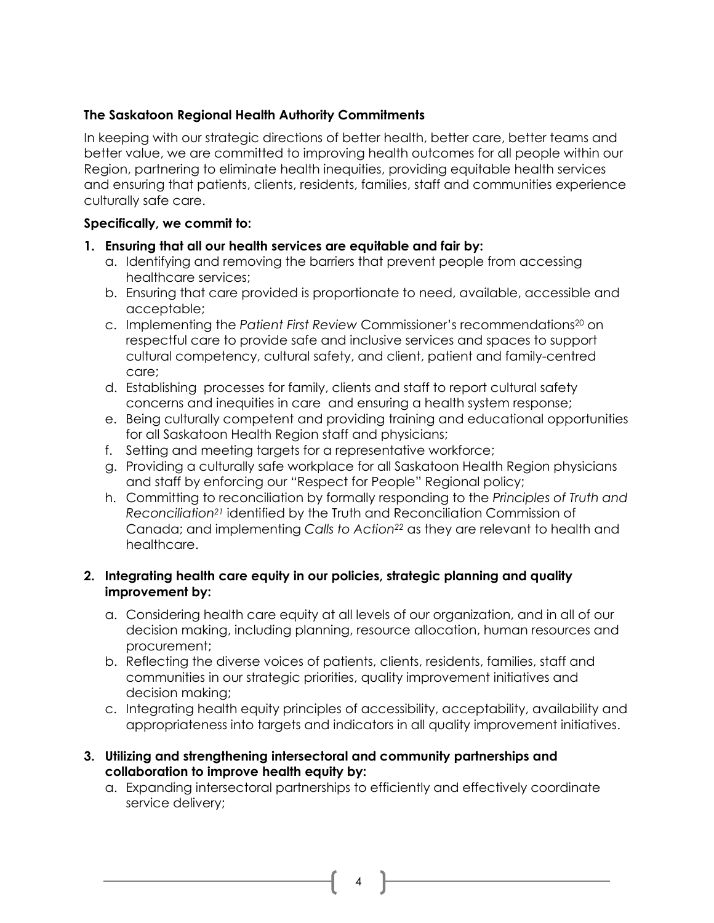### **The Saskatoon Regional Health Authority Commitments**

In keeping with our strategic directions of better health, better care, better teams and better value, we are committed to improving health outcomes for all people within our Region, partnering to eliminate health inequities, providing equitable health services and ensuring that patients, clients, residents, families, staff and communities experience culturally safe care.

# **Specifically, we commit to:**

- **1. Ensuring that all our health services are equitable and fair by:**
	- a. Identifying and removing the barriers that prevent people from accessing healthcare services;
	- b. Ensuring that care provided is proportionate to need, available, accessible and acceptable;
	- c. Implementing the *Patient First Review* Commissioner's recommendations<sup>20</sup> on respectful care to provide safe and inclusive services and spaces to support cultural competency, cultural safety, and client, patient and family-centred care;
	- d. Establishing processes for family, clients and staff to report cultural safety concerns and inequities in care and ensuring a health system response;
	- e. Being culturally competent and providing training and educational opportunities for all Saskatoon Health Region staff and physicians;
	- f. Setting and meeting targets for a representative workforce;
	- g. Providing a culturally safe workplace for all Saskatoon Health Region physicians and staff by enforcing our "Respect for People" Regional policy;
	- h. Committing to reconciliation by formally responding to the *Principles of Truth and Reconciliation<sup>21</sup>* identified by the Truth and Reconciliation Commission of Canada; and implementing *Calls to Action<sup>22</sup>* as they are relevant to health and healthcare.

#### **2. Integrating health care equity in our policies, strategic planning and quality improvement by:**

- a. Considering health care equity at all levels of our organization, and in all of our decision making, including planning, resource allocation, human resources and procurement;
- b. Reflecting the diverse voices of patients, clients, residents, families, staff and communities in our strategic priorities, quality improvement initiatives and decision making;
- c. Integrating health equity principles of accessibility, acceptability, availability and appropriateness into targets and indicators in all quality improvement initiatives.
- **3. Utilizing and strengthening intersectoral and community partnerships and collaboration to improve health equity by:**
	- a. Expanding intersectoral partnerships to efficiently and effectively coordinate service delivery;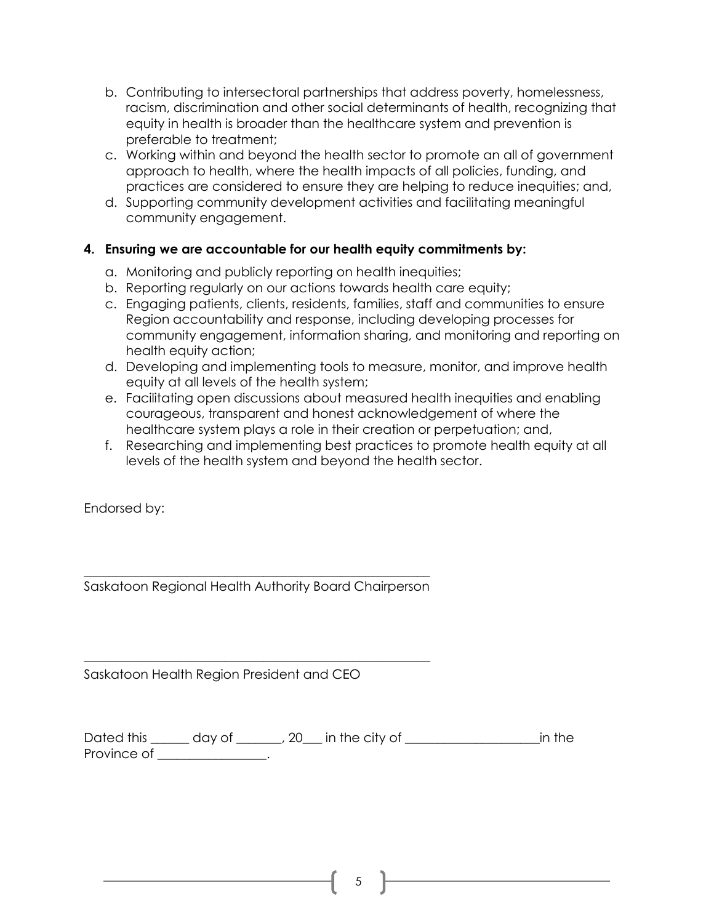- b. Contributing to intersectoral partnerships that address poverty, homelessness, racism, discrimination and other social determinants of health, recognizing that equity in health is broader than the healthcare system and prevention is preferable to treatment;
- c. Working within and beyond the health sector to promote an all of government approach to health, where the health impacts of all policies, funding, and practices are considered to ensure they are helping to reduce inequities; and,
- d. Supporting community development activities and facilitating meaningful community engagement.

# **4. Ensuring we are accountable for our health equity commitments by:**

- a. Monitoring and publicly reporting on health inequities;
- b. Reporting regularly on our actions towards health care equity;
- c. Engaging patients, clients, residents, families, staff and communities to ensure Region accountability and response, including developing processes for community engagement, information sharing, and monitoring and reporting on health equity action;
- d. Developing and implementing tools to measure, monitor, and improve health equity at all levels of the health system;
- e. Facilitating open discussions about measured health inequities and enabling courageous, transparent and honest acknowledgement of where the healthcare system plays a role in their creation or perpetuation; and,
- f. Researching and implementing best practices to promote health equity at all levels of the health system and beyond the health sector.

Endorsed by:

\_\_\_\_\_\_\_\_\_\_\_\_\_\_\_\_\_\_\_\_\_\_\_\_\_\_\_\_\_\_\_\_\_\_\_\_\_\_\_\_\_\_\_\_\_\_\_\_\_\_\_\_\_\_ Saskatoon Regional Health Authority Board Chairperson

\_\_\_\_\_\_\_\_\_\_\_\_\_\_\_\_\_\_\_\_\_\_\_\_\_\_\_\_\_\_\_\_\_\_\_\_\_\_\_\_\_\_\_\_\_\_\_\_\_\_\_\_\_\_

Saskatoon Health Region President and CEO

Dated this \_\_\_\_\_\_ day of \_\_\_\_\_\_\_, 20\_\_\_ in the city of \_\_\_\_\_\_\_\_\_\_\_\_\_\_\_\_\_\_\_\_\_in the Province of \_\_\_\_\_\_\_\_\_\_\_\_\_\_\_.